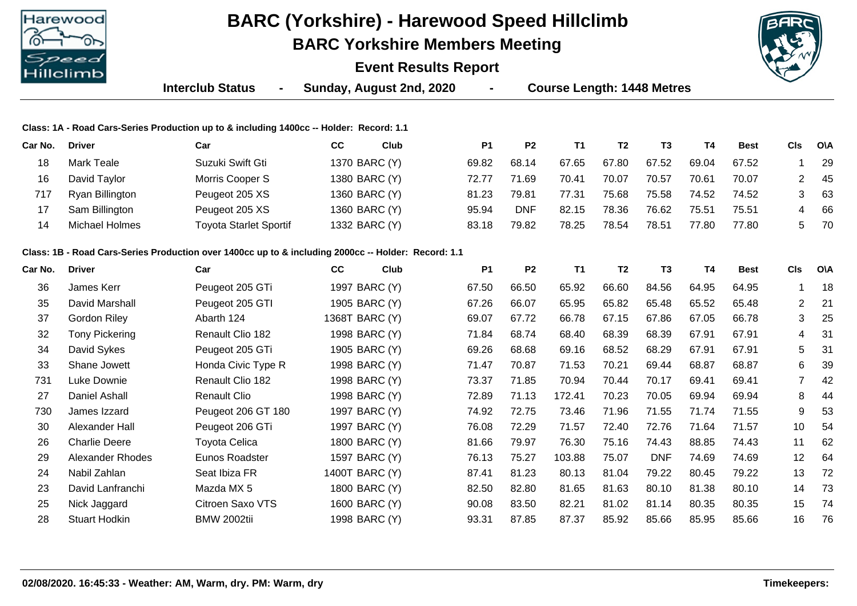|         | Harewood<br>᠗ᢆᢆ᠊                                                                        | <b>BARC (Yorkshire) - Harewood Speed Hillclimb</b><br><b>BARC Yorkshire Members Meeting</b>         |                          |                             |           |            |                                   |                |                |           |             |                | <b>AARC</b> |  |
|---------|-----------------------------------------------------------------------------------------|-----------------------------------------------------------------------------------------------------|--------------------------|-----------------------------|-----------|------------|-----------------------------------|----------------|----------------|-----------|-------------|----------------|-------------|--|
|         | Speed                                                                                   |                                                                                                     |                          | <b>Event Results Report</b> |           |            |                                   |                |                |           |             |                |             |  |
|         | <b>Hillclimb</b><br><b>Interclub Status</b>                                             |                                                                                                     | Sunday, August 2nd, 2020 |                             |           |            | <b>Course Length: 1448 Metres</b> |                |                |           |             |                |             |  |
|         | Class: 1A - Road Cars-Series Production up to & including 1400cc -- Holder: Record: 1.1 |                                                                                                     |                          |                             |           |            |                                   |                |                |           |             |                |             |  |
| Car No. | <b>Driver</b>                                                                           | Car                                                                                                 | <b>CC</b>                | Club                        | <b>P1</b> | <b>P2</b>  | <b>T1</b>                         | T <sub>2</sub> | T <sub>3</sub> | <b>T4</b> | <b>Best</b> | <b>CIs</b>     | <b>O\A</b>  |  |
| 18      | <b>Mark Teale</b>                                                                       | Suzuki Swift Gti                                                                                    |                          | 1370 BARC (Y)               | 69.82     | 68.14      | 67.65                             | 67.80          | 67.52          | 69.04     | 67.52       | -1             | 29          |  |
| 16      | David Taylor                                                                            | Morris Cooper S                                                                                     |                          | 1380 BARC (Y)               | 72.77     | 71.69      | 70.41                             | 70.07          | 70.57          | 70.61     | 70.07       | $\overline{c}$ | 45          |  |
| 717     | Ryan Billington                                                                         | Peugeot 205 XS                                                                                      |                          | 1360 BARC (Y)               | 81.23     | 79.81      | 77.31                             | 75.68          | 75.58          | 74.52     | 74.52       | 3              | 63          |  |
| 17      | Sam Billington                                                                          | Peugeot 205 XS                                                                                      |                          | 1360 BARC (Y)               | 95.94     | <b>DNF</b> | 82.15                             | 78.36          | 76.62          | 75.51     | 75.51       | 4              | 66          |  |
| 14      | Michael Holmes                                                                          | <b>Toyota Starlet Sportif</b>                                                                       |                          | 1332 BARC (Y)               | 83.18     | 79.82      | 78.25                             | 78.54          | 78.51          | 77.80     | 77.80       | 5              | 70          |  |
|         |                                                                                         | Class: 1B - Road Cars-Series Production over 1400cc up to & including 2000cc -- Holder: Record: 1.1 |                          |                             |           |            |                                   |                |                |           |             |                |             |  |
| Car No. | <b>Driver</b>                                                                           | Car                                                                                                 | <b>CC</b>                | Club                        | <b>P1</b> | <b>P2</b>  | <b>T1</b>                         | T <sub>2</sub> | T <sub>3</sub> | <b>T4</b> | <b>Best</b> | <b>CIs</b>     | <b>O\A</b>  |  |
| 36      | James Kerr                                                                              | Peugeot 205 GTi                                                                                     |                          | 1997 BARC (Y)               | 67.50     | 66.50      | 65.92                             | 66.60          | 84.56          | 64.95     | 64.95       | -1             | 18          |  |
| 35      | David Marshall                                                                          | Peugeot 205 GTI                                                                                     |                          | 1905 BARC (Y)               | 67.26     | 66.07      | 65.95                             | 65.82          | 65.48          | 65.52     | 65.48       | $\overline{c}$ | 21          |  |
| 37      | <b>Gordon Riley</b>                                                                     | Abarth 124                                                                                          |                          | 1368T BARC (Y)              | 69.07     | 67.72      | 66.78                             | 67.15          | 67.86          | 67.05     | 66.78       | 3              | 25          |  |
| 32      | <b>Tony Pickering</b>                                                                   | Renault Clio 182                                                                                    |                          | 1998 BARC (Y)               | 71.84     | 68.74      | 68.40                             | 68.39          | 68.39          | 67.91     | 67.91       | 4              | 31          |  |
| 34      | David Sykes                                                                             | Peugeot 205 GTi                                                                                     |                          | 1905 BARC (Y)               | 69.26     | 68.68      | 69.16                             | 68.52          | 68.29          | 67.91     | 67.91       | 5              | 31          |  |
| 33      | Shane Jowett                                                                            | Honda Civic Type R                                                                                  |                          | 1998 BARC (Y)               | 71.47     | 70.87      | 71.53                             | 70.21          | 69.44          | 68.87     | 68.87       | 6              | 39          |  |
| 731     | Luke Downie                                                                             | Renault Clio 182                                                                                    |                          | 1998 BARC (Y)               | 73.37     | 71.85      | 70.94                             | 70.44          | 70.17          | 69.41     | 69.41       | 7              | 42          |  |
| 27      | Daniel Ashall                                                                           | <b>Renault Clio</b>                                                                                 |                          | 1998 BARC (Y)               | 72.89     | 71.13      | 172.41                            | 70.23          | 70.05          | 69.94     | 69.94       | 8              | 44          |  |
| 730     | James Izzard                                                                            | Peugeot 206 GT 180                                                                                  |                          | 1997 BARC (Y)               | 74.92     | 72.75      | 73.46                             | 71.96          | 71.55          | 71.74     | 71.55       | 9              | 53          |  |
| 30      | Alexander Hall                                                                          | Peugeot 206 GTi                                                                                     |                          | 1997 BARC (Y)               | 76.08     | 72.29      | 71.57                             | 72.40          | 72.76          | 71.64     | 71.57       | 10             | 54          |  |
| 26      | <b>Charlie Deere</b>                                                                    | <b>Toyota Celica</b>                                                                                |                          | 1800 BARC (Y)               | 81.66     | 79.97      | 76.30                             | 75.16          | 74.43          | 88.85     | 74.43       | 11             | 62          |  |
| 29      | <b>Alexander Rhodes</b>                                                                 | Eunos Roadster                                                                                      |                          | 1597 BARC (Y)               | 76.13     | 75.27      | 103.88                            | 75.07          | <b>DNF</b>     | 74.69     | 74.69       | 12             | 64          |  |
| 24      | Nabil Zahlan                                                                            | Seat Ibiza FR                                                                                       |                          | 1400T BARC (Y)              | 87.41     | 81.23      | 80.13                             | 81.04          | 79.22          | 80.45     | 79.22       | 13             | 72          |  |
| 23      | David Lanfranchi                                                                        | Mazda MX 5                                                                                          |                          | 1800 BARC (Y)               | 82.50     | 82.80      | 81.65                             | 81.63          | 80.10          | 81.38     | 80.10       | 14             | 73          |  |
| 25      | Nick Jaggard                                                                            | Citroen Saxo VTS                                                                                    |                          | 1600 BARC (Y)               | 90.08     | 83.50      | 82.21                             | 81.02          | 81.14          | 80.35     | 80.35       | 15             | 74          |  |
| 28      | <b>Stuart Hodkin</b>                                                                    | <b>BMW 2002tii</b>                                                                                  |                          | 1998 BARC (Y)               | 93.31     | 87.85      | 87.37                             | 85.92          | 85.66          | 85.95     | 85.66       | 16             | 76          |  |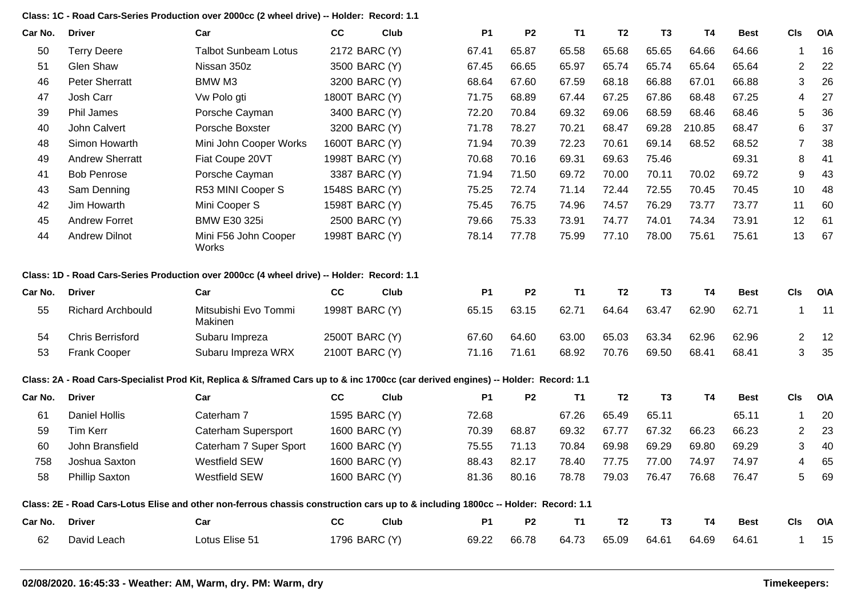**Class: 1C - Road Cars-Series Production over 2000cc (2 wheel drive) -- Holder: Record: 1.1**

| Car No. | <b>Driver</b>            | Car                                                                                                                                | cc | Club           | <b>P1</b> | <b>P2</b>      | <b>T1</b>      | T <sub>2</sub> | T <sub>3</sub> | <b>T4</b> | <b>Best</b> | <b>CIs</b>     | <b>O\A</b> |
|---------|--------------------------|------------------------------------------------------------------------------------------------------------------------------------|----|----------------|-----------|----------------|----------------|----------------|----------------|-----------|-------------|----------------|------------|
| 50      | <b>Terry Deere</b>       | <b>Talbot Sunbeam Lotus</b>                                                                                                        |    | 2172 BARC (Y)  | 67.41     | 65.87          | 65.58          | 65.68          | 65.65          | 64.66     | 64.66       | 1              | 16         |
| 51      | <b>Glen Shaw</b>         | Nissan 350z                                                                                                                        |    | 3500 BARC (Y)  | 67.45     | 66.65          | 65.97          | 65.74          | 65.74          | 65.64     | 65.64       | $\overline{c}$ | 22         |
| 46      | <b>Peter Sherratt</b>    | BMW M3                                                                                                                             |    | 3200 BARC (Y)  | 68.64     | 67.60          | 67.59          | 68.18          | 66.88          | 67.01     | 66.88       | 3              | 26         |
| 47      | Josh Carr                | Vw Polo gti                                                                                                                        |    | 1800T BARC (Y) | 71.75     | 68.89          | 67.44          | 67.25          | 67.86          | 68.48     | 67.25       | 4              | 27         |
| 39      | Phil James               | Porsche Cayman                                                                                                                     |    | 3400 BARC (Y)  | 72.20     | 70.84          | 69.32          | 69.06          | 68.59          | 68.46     | 68.46       | 5              | 36         |
| 40      | John Calvert             | Porsche Boxster                                                                                                                    |    | 3200 BARC (Y)  | 71.78     | 78.27          | 70.21          | 68.47          | 69.28          | 210.85    | 68.47       | 6              | 37         |
| 48      | Simon Howarth            | Mini John Cooper Works                                                                                                             |    | 1600T BARC (Y) | 71.94     | 70.39          | 72.23          | 70.61          | 69.14          | 68.52     | 68.52       | 7              | 38         |
| 49      | <b>Andrew Sherratt</b>   | Fiat Coupe 20VT                                                                                                                    |    | 1998T BARC (Y) | 70.68     | 70.16          | 69.31          | 69.63          | 75.46          |           | 69.31       | 8              | 41         |
| 41      | <b>Bob Penrose</b>       | Porsche Cayman                                                                                                                     |    | 3387 BARC (Y)  | 71.94     | 71.50          | 69.72          | 70.00          | 70.11          | 70.02     | 69.72       | 9              | 43         |
| 43      | Sam Denning              | R53 MINI Cooper S                                                                                                                  |    | 1548S BARC (Y) | 75.25     | 72.74          | 71.14          | 72.44          | 72.55          | 70.45     | 70.45       | 10             | 48         |
| 42      | Jim Howarth              | Mini Cooper S                                                                                                                      |    | 1598T BARC (Y) | 75.45     | 76.75          | 74.96          | 74.57          | 76.29          | 73.77     | 73.77       | 11             | 60         |
| 45      | <b>Andrew Forret</b>     | <b>BMW E30 325i</b>                                                                                                                |    | 2500 BARC (Y)  | 79.66     | 75.33          | 73.91          | 74.77          | 74.01          | 74.34     | 73.91       | 12             | 61         |
| 44      | <b>Andrew Dilnot</b>     | Mini F56 John Cooper<br>Works                                                                                                      |    | 1998T BARC (Y) | 78.14     | 77.78          | 75.99          | 77.10          | 78.00          | 75.61     | 75.61       | 13             | 67         |
|         |                          | Class: 1D - Road Cars-Series Production over 2000cc (4 wheel drive) -- Holder: Record: 1.1                                         |    |                |           |                |                |                |                |           |             |                |            |
| Car No. | <b>Driver</b>            | Car                                                                                                                                | cc | Club           | <b>P1</b> | P <sub>2</sub> | <b>T1</b>      | T <sub>2</sub> | T <sub>3</sub> | T4        | <b>Best</b> | <b>CIs</b>     | O\A        |
| 55      | <b>Richard Archbould</b> | Mitsubishi Evo Tommi<br>Makinen                                                                                                    |    | 1998T BARC (Y) | 65.15     | 63.15          | 62.71          | 64.64          | 63.47          | 62.90     | 62.71       |                | 11         |
| 54      | <b>Chris Berrisford</b>  | Subaru Impreza                                                                                                                     |    | 2500T BARC (Y) | 67.60     | 64.60          | 63.00          | 65.03          | 63.34          | 62.96     | 62.96       | $\overline{2}$ | 12         |
| 53      | <b>Frank Cooper</b>      | Subaru Impreza WRX                                                                                                                 |    | 2100T BARC (Y) | 71.16     | 71.61          | 68.92          | 70.76          | 69.50          | 68.41     | 68.41       | 3              | 35         |
|         |                          | Class: 2A - Road Cars-Specialist Prod Kit, Replica & S/framed Cars up to & inc 1700cc (car derived engines) -- Holder: Record: 1.1 |    |                |           |                |                |                |                |           |             |                |            |
| Car No. | <b>Driver</b>            | Car                                                                                                                                | cc | Club           | <b>P1</b> | <b>P2</b>      | T <sub>1</sub> | T <sub>2</sub> | T <sub>3</sub> | <b>T4</b> | <b>Best</b> | <b>CIs</b>     | O\A        |
| 61      | <b>Daniel Hollis</b>     | Caterham 7                                                                                                                         |    | 1595 BARC (Y)  | 72.68     |                | 67.26          | 65.49          | 65.11          |           | 65.11       |                | 20         |
| 59      | <b>Tim Kerr</b>          | Caterham Supersport                                                                                                                |    | 1600 BARC (Y)  | 70.39     | 68.87          | 69.32          | 67.77          | 67.32          | 66.23     | 66.23       | $\overline{c}$ | 23         |
| 60      | John Bransfield          | Caterham 7 Super Sport                                                                                                             |    | 1600 BARC (Y)  | 75.55     | 71.13          | 70.84          | 69.98          | 69.29          | 69.80     | 69.29       | 3              | 40         |
| 758     | Joshua Saxton            | <b>Westfield SEW</b>                                                                                                               |    | 1600 BARC (Y)  | 88.43     | 82.17          | 78.40          | 77.75          | 77.00          | 74.97     | 74.97       | 4              | 65         |
| 58      | <b>Phillip Saxton</b>    | <b>Westfield SEW</b>                                                                                                               |    | 1600 BARC (Y)  | 81.36     | 80.16          | 78.78          | 79.03          | 76.47          | 76.68     | 76.47       | 5              | 69         |
|         |                          | Class: 2E - Road Cars-Lotus Elise and other non-ferrous chassis construction cars up to & including 1800cc -- Holder: Record: 1.1  |    |                |           |                |                |                |                |           |             |                |            |
| Car No. | <b>Driver</b>            | Car                                                                                                                                | cc | Club           | <b>P1</b> | P <sub>2</sub> | <b>T1</b>      | T <sub>2</sub> | T <sub>3</sub> | T4        | <b>Best</b> | <b>CIs</b>     | O\A        |
| 62      | David Leach              | Lotus Elise 51                                                                                                                     |    | 1796 BARC (Y)  | 69.22     | 66.78          | 64.73          | 65.09          | 64.61          | 64.69     | 64.61       |                | 15         |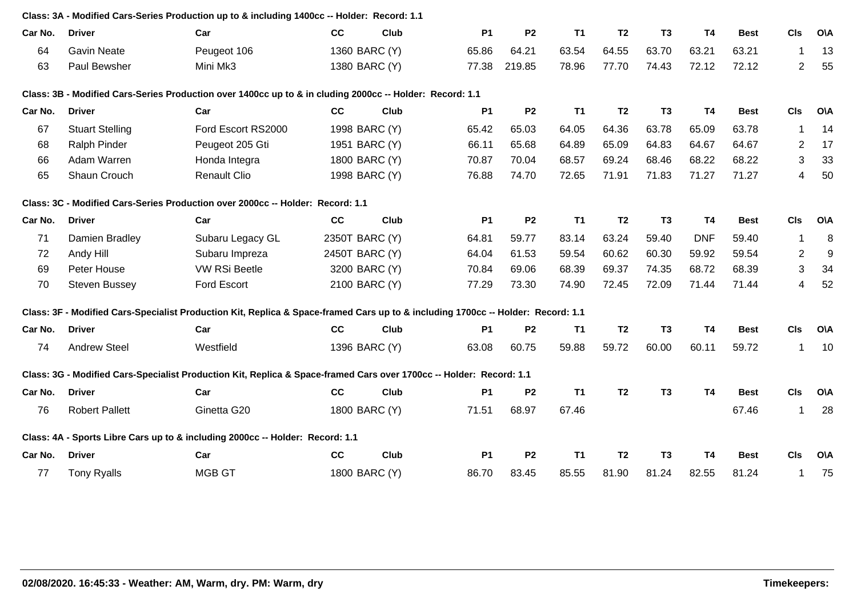|         |                        | Class: 3A - Modified Cars-Series Production up to & including 1400cc -- Holder: Record: 1.1                                      |               |                |           |           |                |                |                |            |             |                |            |
|---------|------------------------|----------------------------------------------------------------------------------------------------------------------------------|---------------|----------------|-----------|-----------|----------------|----------------|----------------|------------|-------------|----------------|------------|
| Car No. | <b>Driver</b>          | Car                                                                                                                              | cc            | Club           | <b>P1</b> | <b>P2</b> | <b>T1</b>      | T <sub>2</sub> | T <sub>3</sub> | <b>T4</b>  | <b>Best</b> | CIS            | O\A        |
| 64      | <b>Gavin Neate</b>     | Peugeot 106                                                                                                                      |               | 1360 BARC (Y)  | 65.86     | 64.21     | 63.54          | 64.55          | 63.70          | 63.21      | 63.21       | 1              | 13         |
| 63      | Paul Bewsher           | Mini Mk3                                                                                                                         | 1380 BARC (Y) |                | 77.38     | 219.85    | 78.96          | 77.70          | 74.43          | 72.12      | 72.12       | $\overline{2}$ | 55         |
|         |                        | Class: 3B - Modified Cars-Series Production over 1400cc up to & in cluding 2000cc -- Holder: Record: 1.1                         |               |                |           |           |                |                |                |            |             |                |            |
| Car No. | <b>Driver</b>          | Car                                                                                                                              | cc            | Club           | <b>P1</b> | <b>P2</b> | <b>T1</b>      | T <sub>2</sub> | T <sub>3</sub> | T4         | <b>Best</b> | CIs            | <b>O\A</b> |
| 67      | <b>Stuart Stelling</b> | Ford Escort RS2000                                                                                                               |               | 1998 BARC (Y)  | 65.42     | 65.03     | 64.05          | 64.36          | 63.78          | 65.09      | 63.78       | 1              | 14         |
| 68      | Ralph Pinder           | Peugeot 205 Gti                                                                                                                  |               | 1951 BARC (Y)  | 66.11     | 65.68     | 64.89          | 65.09          | 64.83          | 64.67      | 64.67       | 2              | 17         |
| 66      | Adam Warren            | Honda Integra                                                                                                                    |               | 1800 BARC (Y)  | 70.87     | 70.04     | 68.57          | 69.24          | 68.46          | 68.22      | 68.22       | 3              | 33         |
| 65      | Shaun Crouch           | <b>Renault Clio</b>                                                                                                              |               | 1998 BARC (Y)  | 76.88     | 74.70     | 72.65          | 71.91          | 71.83          | 71.27      | 71.27       | 4              | 50         |
|         |                        | Class: 3C - Modified Cars-Series Production over 2000cc -- Holder: Record: 1.1                                                   |               |                |           |           |                |                |                |            |             |                |            |
| Car No. | <b>Driver</b>          | Car                                                                                                                              | cc            | Club           | <b>P1</b> | <b>P2</b> | <b>T1</b>      | T <sub>2</sub> | T <sub>3</sub> | <b>T4</b>  | <b>Best</b> | <b>CIs</b>     | <b>OVA</b> |
| 71      | Damien Bradley         | Subaru Legacy GL                                                                                                                 |               | 2350T BARC (Y) | 64.81     | 59.77     | 83.14          | 63.24          | 59.40          | <b>DNF</b> | 59.40       | 1              | 8          |
| 72      | Andy Hill              | Subaru Impreza                                                                                                                   |               | 2450T BARC (Y) | 64.04     | 61.53     | 59.54          | 60.62          | 60.30          | 59.92      | 59.54       | $\overline{2}$ | 9          |
| 69      | Peter House            | <b>VW RSi Beetle</b>                                                                                                             |               | 3200 BARC (Y)  | 70.84     | 69.06     | 68.39          | 69.37          | 74.35          | 68.72      | 68.39       | 3              | 34         |
| 70      | <b>Steven Bussey</b>   | Ford Escort                                                                                                                      |               | 2100 BARC (Y)  | 77.29     | 73.30     | 74.90          | 72.45          | 72.09          | 71.44      | 71.44       | 4              | 52         |
|         |                        | Class: 3F - Modified Cars-Specialist Production Kit, Replica & Space-framed Cars up to & including 1700cc -- Holder: Record: 1.1 |               |                |           |           |                |                |                |            |             |                |            |
| Car No. | <b>Driver</b>          | Car                                                                                                                              | cc            | Club           | <b>P1</b> | <b>P2</b> | T <sub>1</sub> | T <sub>2</sub> | T <sub>3</sub> | T4         | <b>Best</b> | CIs            | O\A        |
| 74      | <b>Andrew Steel</b>    | Westfield                                                                                                                        |               | 1396 BARC (Y)  | 63.08     | 60.75     | 59.88          | 59.72          | 60.00          | 60.11      | 59.72       | 1              | 10         |
|         |                        | Class: 3G - Modified Cars-Specialist Production Kit, Replica & Space-framed Cars over 1700cc -- Holder: Record: 1.1              |               |                |           |           |                |                |                |            |             |                |            |
| Car No. | <b>Driver</b>          | Car                                                                                                                              | cc            | Club           | <b>P1</b> | <b>P2</b> | <b>T1</b>      | T <sub>2</sub> | T <sub>3</sub> | <b>T4</b>  | <b>Best</b> | CIs            | <b>O\A</b> |
| 76      | <b>Robert Pallett</b>  | Ginetta G20                                                                                                                      |               | 1800 BARC (Y)  | 71.51     | 68.97     | 67.46          |                |                |            | 67.46       | 1              | 28         |
|         |                        | Class: 4A - Sports Libre Cars up to & including 2000cc -- Holder: Record: 1.1                                                    |               |                |           |           |                |                |                |            |             |                |            |
| Car No. | <b>Driver</b>          | Car                                                                                                                              | <b>CC</b>     | Club           | <b>P1</b> | <b>P2</b> | T <sub>1</sub> | T <sub>2</sub> | T <sub>3</sub> | T4         | Best        | <b>CIs</b>     | <b>OVA</b> |
| 77      | <b>Tony Ryalls</b>     | <b>MGB GT</b>                                                                                                                    |               | 1800 BARC (Y)  | 86.70     | 83.45     | 85.55          | 81.90          | 81.24          | 82.55      | 81.24       | 1              | 75         |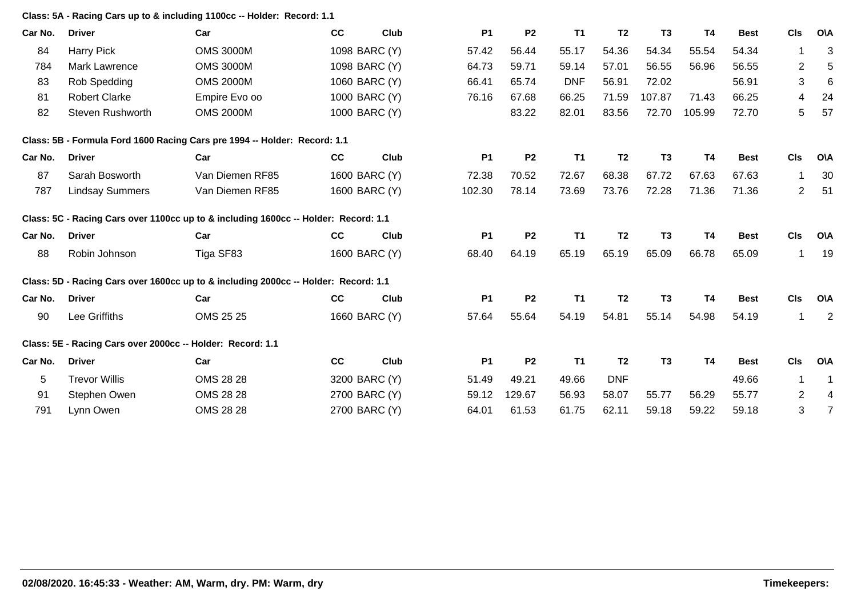## **Class: 5A - Racing Cars up to & including 1100cc -- Holder: Record: 1.1**

| Car No. | <b>Driver</b>                                              | Car                                                                                 | cc | Club          | <b>P1</b> | <b>P2</b>      | <b>T1</b>  | T <sub>2</sub> | T <sub>3</sub> | <b>T4</b> | <b>Best</b> | CIs            | <b>O\A</b>               |
|---------|------------------------------------------------------------|-------------------------------------------------------------------------------------|----|---------------|-----------|----------------|------------|----------------|----------------|-----------|-------------|----------------|--------------------------|
| 84      | <b>Harry Pick</b>                                          | <b>OMS 3000M</b>                                                                    |    | 1098 BARC (Y) | 57.42     | 56.44          | 55.17      | 54.36          | 54.34          | 55.54     | 54.34       | 1              | 3                        |
| 784     | Mark Lawrence                                              | <b>OMS 3000M</b>                                                                    |    | 1098 BARC (Y) | 64.73     | 59.71          | 59.14      | 57.01          | 56.55          | 56.96     | 56.55       | $\overline{c}$ | 5                        |
| 83      | Rob Spedding                                               | <b>OMS 2000M</b>                                                                    |    | 1060 BARC (Y) | 66.41     | 65.74          | <b>DNF</b> | 56.91          | 72.02          |           | 56.91       | 3              | 6                        |
| 81      | <b>Robert Clarke</b>                                       | Empire Evo oo                                                                       |    | 1000 BARC (Y) | 76.16     | 67.68          | 66.25      | 71.59          | 107.87         | 71.43     | 66.25       | 4              | 24                       |
| 82      | <b>Steven Rushworth</b>                                    | <b>OMS 2000M</b>                                                                    |    | 1000 BARC (Y) |           | 83.22          | 82.01      | 83.56          | 72.70          | 105.99    | 72.70       | 5              | 57                       |
|         |                                                            | Class: 5B - Formula Ford 1600 Racing Cars pre 1994 -- Holder: Record: 1.1           |    |               |           |                |            |                |                |           |             |                |                          |
| Car No. | <b>Driver</b>                                              | Car                                                                                 | cc | Club          | <b>P1</b> | <b>P2</b>      | <b>T1</b>  | T <sub>2</sub> | T <sub>3</sub> | <b>T4</b> | <b>Best</b> | CIs            | O\A                      |
| 87      | Sarah Bosworth                                             | Van Diemen RF85                                                                     |    | 1600 BARC (Y) | 72.38     | 70.52          | 72.67      | 68.38          | 67.72          | 67.63     | 67.63       | -1             | 30                       |
| 787     | <b>Lindsay Summers</b>                                     | Van Diemen RF85                                                                     |    | 1600 BARC (Y) | 102.30    | 78.14          | 73.69      | 73.76          | 72.28          | 71.36     | 71.36       | $\overline{2}$ | 51                       |
|         |                                                            | Class: 5C - Racing Cars over 1100cc up to & including 1600cc -- Holder: Record: 1.1 |    |               |           |                |            |                |                |           |             |                |                          |
| Car No. | <b>Driver</b>                                              | Car                                                                                 | cc | Club          | <b>P1</b> | <b>P2</b>      | <b>T1</b>  | T <sub>2</sub> | T <sub>3</sub> | <b>T4</b> | <b>Best</b> | CIs            | O\A                      |
| 88      | Robin Johnson                                              | Tiga SF83                                                                           |    | 1600 BARC (Y) | 68.40     | 64.19          | 65.19      | 65.19          | 65.09          | 66.78     | 65.09       | 1              | 19                       |
|         |                                                            | Class: 5D - Racing Cars over 1600cc up to & including 2000cc -- Holder: Record: 1.1 |    |               |           |                |            |                |                |           |             |                |                          |
| Car No. | <b>Driver</b>                                              | Car                                                                                 | cc | Club          | <b>P1</b> | P <sub>2</sub> | <b>T1</b>  | T <sub>2</sub> | T <sub>3</sub> | <b>T4</b> | <b>Best</b> | CIs            | O\A                      |
| 90      | Lee Griffiths                                              | OMS 25 25                                                                           |    | 1660 BARC (Y) | 57.64     | 55.64          | 54.19      | 54.81          | 55.14          | 54.98     | 54.19       | 1              | $\overline{2}$           |
|         | Class: 5E - Racing Cars over 2000cc -- Holder: Record: 1.1 |                                                                                     |    |               |           |                |            |                |                |           |             |                |                          |
| Car No. | <b>Driver</b>                                              | Car                                                                                 | cc | Club          | <b>P1</b> | P <sub>2</sub> | <b>T1</b>  | T <sub>2</sub> | T <sub>3</sub> | <b>T4</b> | <b>Best</b> | CIs            | <b>O\A</b>               |
| 5       | <b>Trevor Willis</b>                                       | <b>OMS 28 28</b>                                                                    |    | 3200 BARC (Y) | 51.49     | 49.21          | 49.66      | <b>DNF</b>     |                |           | 49.66       | $\overline{1}$ | $\overline{\phantom{a}}$ |
| 91      | Stephen Owen                                               | <b>OMS 28 28</b>                                                                    |    | 2700 BARC (Y) | 59.12     | 129.67         | 56.93      | 58.07          | 55.77          | 56.29     | 55.77       | $\overline{2}$ | 4                        |
| 791     | Lynn Owen                                                  | <b>OMS 28 28</b>                                                                    |    | 2700 BARC (Y) | 64.01     | 61.53          | 61.75      | 62.11          | 59.18          | 59.22     | 59.18       | 3              |                          |